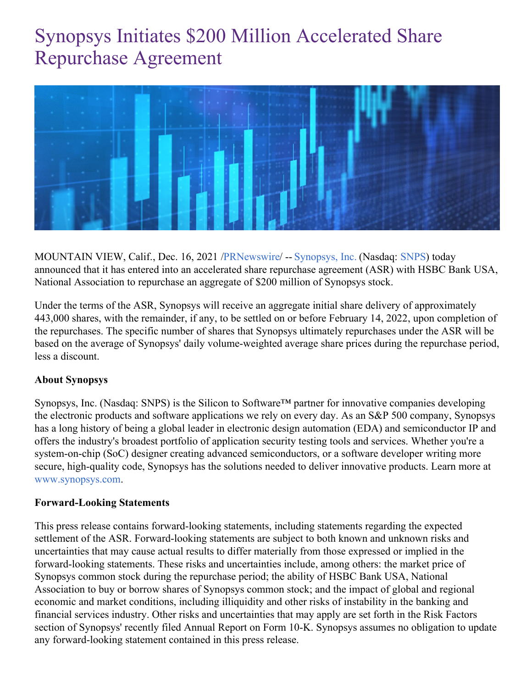# Synopsys Initiates \$200 Million Accelerated Share Repurchase Agreement



MOUNTAIN VIEW, Calif., Dec. 16, 2021 [/PRNewswire](http://www.prnewswire.com/)/ -- [Synopsys,](https://c212.net/c/link/?t=0&l=en&o=3392083-1&h=3930813970&u=https%3A%2F%2Fwww.synopsys.com%2F&a=Synopsys%2C+Inc.) Inc. (Nasdaq: [SNPS](https://c212.net/c/link/?t=0&l=en&o=3392083-1&h=1308921658&u=https%3A%2F%2Fwww.synopsys.com%2Fcompany%2Finvestor-relations.html&a=SNPS)) today announced that it has entered into an accelerated share repurchase agreement (ASR) with HSBC Bank USA, National Association to repurchase an aggregate of \$200 million of Synopsys stock.

Under the terms of the ASR, Synopsys will receive an aggregate initial share delivery of approximately 443,000 shares, with the remainder, if any, to be settled on or before February 14, 2022, upon completion of the repurchases. The specific number of shares that Synopsys ultimately repurchases under the ASR will be based on the average of Synopsys' daily volume-weighted average share prices during the repurchase period, less a discount.

### **About Synopsys**

Synopsys, Inc. (Nasdaq: SNPS) is the Silicon to Software™ partner for innovative companies developing the electronic products and software applications we rely on every day. As an S&P 500 company, Synopsys has a long history of being a global leader in electronic design automation (EDA) and semiconductor IP and offers the industry's broadest portfolio of application security testing tools and services. Whether you're a system-on-chip (SoC) designer creating advanced semiconductors, or a software developer writing more secure, high-quality code, Synopsys has the solutions needed to deliver innovative products. Learn more at [www.synopsys.com.](https://c212.net/c/link/?t=0&l=en&o=3392083-1&h=3170053063&u=http%3A%2F%2Fwww.synopsys.com%2F&a=www.synopsys.com)

### **Forward-Looking Statements**

This press release contains forward-looking statements, including statements regarding the expected settlement of the ASR. Forward-looking statements are subject to both known and unknown risks and uncertainties that may cause actual results to differ materially from those expressed or implied in the forward-looking statements. These risks and uncertainties include, among others: the market price of Synopsys common stock during the repurchase period; the ability of HSBC Bank USA, National Association to buy or borrow shares of Synopsys common stock; and the impact of global and regional economic and market conditions, including illiquidity and other risks of instability in the banking and financial services industry. Other risks and uncertainties that may apply are set forth in the Risk Factors section of Synopsys' recently filed Annual Report on Form 10-K. Synopsys assumes no obligation to update any forward-looking statement contained in this press release.